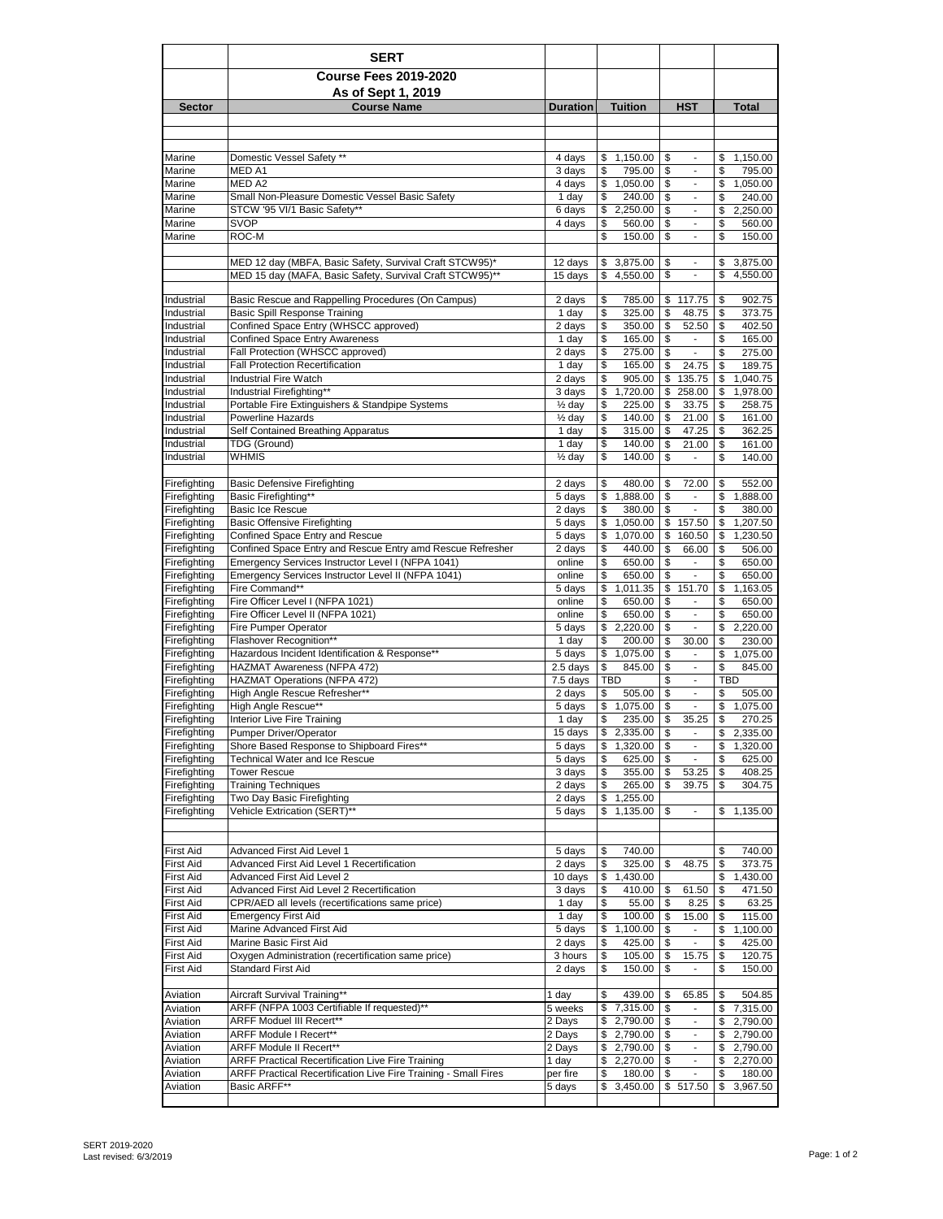|                              | <b>SERT</b>                                                                                    |                            |                                  |                                                                  |                                  |
|------------------------------|------------------------------------------------------------------------------------------------|----------------------------|----------------------------------|------------------------------------------------------------------|----------------------------------|
|                              | <b>Course Fees 2019-2020</b>                                                                   |                            |                                  |                                                                  |                                  |
|                              | As of Sept 1, 2019                                                                             |                            |                                  |                                                                  |                                  |
| <b>Sector</b>                | <b>Course Name</b>                                                                             | <b>Duration</b>            | <b>Tuition</b>                   | <b>HST</b>                                                       | <b>Total</b>                     |
|                              |                                                                                                |                            |                                  |                                                                  |                                  |
|                              |                                                                                                |                            |                                  |                                                                  |                                  |
| Marine<br>Marine             | Domestic Vessel Safety **<br>MED A1                                                            | 4 days<br>3 days           | 1,150.00<br>\$<br>795.00<br>\$   | \$<br>\$<br>$\overline{\phantom{a}}$                             | \$<br>1,150.00<br>\$<br>795.00   |
| Marine                       | MED A2                                                                                         | 4 days                     | \$<br>1,050.00                   | \$<br>$\overline{\phantom{a}}$                                   | \$<br>1,050.00                   |
| Marine                       | Small Non-Pleasure Domestic Vessel Basic Safety                                                | 1 day                      | \$<br>240.00                     | \$<br>$\overline{\phantom{a}}$                                   | \$<br>240.00                     |
| Marine                       | STCW '95 VI/1 Basic Safety**                                                                   | 6 days                     | 2,250.00<br>\$                   | \$<br>$\blacksquare$                                             | \$<br>2,250.00                   |
| Marine<br>Marine             | SVOP<br>ROC-M                                                                                  | 4 days                     | \$<br>560.00<br>\$<br>150.00     | \$<br>$\blacksquare$<br>\$                                       | \$<br>560.00<br>\$<br>150.00     |
|                              |                                                                                                |                            |                                  | $\overline{\phantom{a}}$                                         |                                  |
|                              | MED 12 day (MBFA, Basic Safety, Survival Craft STCW95)*                                        | 12 days                    | 3,875.00<br>\$                   | \$<br>$\sim$                                                     | \$<br>3,875.00                   |
|                              | MED 15 day (MAFA, Basic Safety, Survival Craft STCW95)**                                       | 15 days                    | \$<br>4,550.00                   | \$<br>$\overline{\phantom{a}}$                                   | \$<br>4,550.00                   |
| Industrial                   | Basic Rescue and Rappelling Procedures (On Campus)                                             | 2 days                     | \$<br>785.00                     | \$<br>117.75                                                     | 902.75<br>\$                     |
| Industrial                   | <b>Basic Spill Response Training</b>                                                           | 1 day                      | \$<br>325.00                     | \$<br>48.75                                                      | \$<br>373.75                     |
| Industrial                   | Confined Space Entry (WHSCC approved)                                                          | 2 days                     | 350.00<br>\$                     | \$<br>52.50                                                      | \$<br>402.50                     |
| Industrial                   | <b>Confined Space Entry Awareness</b>                                                          | 1 day                      | 165.00<br>\$                     | \$<br>$\overline{\phantom{a}}$                                   | \$<br>165.00                     |
| Industrial                   | Fall Protection (WHSCC approved)                                                               | 2 days                     | \$<br>275.00                     | \$<br>$\blacksquare$                                             | \$<br>275.00<br>189.75           |
| Industrial<br>Industrial     | <b>Fall Protection Recertification</b><br><b>Industrial Fire Watch</b>                         | 1 day<br>2 days            | \$<br>165.00<br>\$<br>905.00     | \$<br>24.75<br>\$<br>135.75                                      | \$<br>\$<br>1,040.75             |
| Industrial                   | Industrial Firefighting**                                                                      | 3 days                     | \$<br>1,720.00                   | \$<br>258.00                                                     | \$<br>1,978.00                   |
| Industrial                   | Portable Fire Extinguishers & Standpipe Systems                                                | 1/ <sub>2</sub> day        | \$<br>225.00                     | \$<br>33.75                                                      | \$<br>258.75                     |
| Industrial                   | <b>Powerline Hazards</b>                                                                       | $\frac{1}{2}$ day          | \$<br>140.00                     | \$<br>21.00                                                      | \$<br>161.00                     |
| Industrial                   | Self Contained Breathing Apparatus                                                             | 1 day                      | \$<br>315.00                     | 47.25<br>\$                                                      | \$<br>362.25                     |
| Industrial<br>Industrial     | TDG (Ground)<br><b>WHMIS</b>                                                                   | 1 day<br>$\frac{1}{2}$ day | \$<br>140.00<br>140.00<br>\$     | \$<br>21.00<br>\$<br>÷,                                          | \$<br>161.00<br>\$<br>140.00     |
|                              |                                                                                                |                            |                                  |                                                                  |                                  |
| Firefighting                 | <b>Basic Defensive Firefighting</b>                                                            | 2 days                     | \$<br>480.00                     | \$<br>72.00                                                      | \$<br>552.00                     |
| Firefighting                 | Basic Firefighting**                                                                           | 5 days                     | \$<br>1,888.00                   | \$<br>÷,                                                         | \$<br>1,888.00                   |
| Firefighting                 | <b>Basic Ice Rescue</b>                                                                        | 2 days                     | \$<br>380.00                     | \$<br>$\overline{a}$                                             | \$<br>380.00<br>1,207.50         |
| Firefighting<br>Firefighting | <b>Basic Offensive Firefighting</b><br>Confined Space Entry and Rescue                         | 5 days<br>5 days           | 1,050.00<br>\$<br>\$<br>1,070.00 | \$<br>157.50<br>\$<br>160.50                                     | \$<br>1,230.50<br>\$             |
| Firefighting                 | Confined Space Entry and Rescue Entry amd Rescue Refresher                                     | 2 days                     | \$<br>440.00                     | \$<br>66.00                                                      | \$<br>506.00                     |
| Firefighting                 | Emergency Services Instructor Level I (NFPA 1041)                                              | online                     | \$<br>650.00                     | \$<br>$\overline{\phantom{m}}$                                   | \$<br>650.00                     |
| Firefighting                 | Emergency Services Instructor Level II (NFPA 1041)                                             | online                     | \$<br>650.00                     | \$<br>$\overline{\phantom{a}}$                                   | \$<br>650.00                     |
| Firefighting<br>Firefighting | Fire Command**<br>Fire Officer Level I (NFPA 1021)                                             | 5 days<br>online           | 1,011.35<br>\$<br>\$<br>650.00   | \$<br>151.70<br>$\blacksquare$                                   | 1,163.05<br>\$                   |
| Firefighting                 | Fire Officer Level II (NFPA 1021)                                                              | online                     | \$<br>650.00                     | \$<br>\$<br>$\overline{a}$                                       | \$<br>650.00<br>\$<br>650.00     |
| Firefighting                 | Fire Pumper Operator                                                                           | 5 days                     | \$<br>2,220.00                   | \$<br>$\overline{a}$                                             | \$<br>2,220.00                   |
| Firefighting                 | Flashover Recognition**                                                                        | 1 day                      | \$<br>200.00                     | \$<br>30.00                                                      | \$<br>230.00                     |
| Firefighting                 | Hazardous Incident Identification & Response**                                                 | 5 days                     | 1,075.00<br>\$                   | \$<br>$\overline{\phantom{m}}$                                   | \$<br>1,075.00                   |
| Firefighting<br>Firefighting | HAZMAT Awareness (NFPA 472)<br>HAZMAT Operations (NFPA 472)                                    | 2.5 days<br>7.5 days       | \$<br>845.00<br>TBD              | \$<br>$\overline{\phantom{a}}$<br>\$<br>$\overline{\phantom{m}}$ | \$<br>845.00<br><b>TBD</b>       |
| Firefighting                 | High Angle Rescue Refresher**                                                                  | 2 days                     | \$<br>505.00                     | \$<br>$\overline{\phantom{a}}$                                   | \$<br>505.00                     |
| Firefighting                 | High Angle Rescue**                                                                            | 5 days                     | 1,075.00<br>\$                   | \$<br>$\overline{a}$                                             | \$<br>1,075.00                   |
| Firefighting                 | Interior Live Fire Training                                                                    | 1 day                      | \$<br>235.00                     | \$<br>35.25                                                      | \$<br>270.25                     |
| Firefighting                 | Pumper Driver/Operator                                                                         | 15 days                    | \$<br>2.335.00                   | $\mathbf{\$}$                                                    | \$<br>2,335.00                   |
| Firefighting<br>Firefighting | Shore Based Response to Shipboard Fires**<br><b>Technical Water and Ice Rescue</b>             | 5 days<br>5 days           | \$<br>1,320.00<br>\$<br>625.00   | \$<br>$\overline{\phantom{a}}$<br>\$<br>$\blacksquare$           | \$<br>1,320.00<br>\$<br>625.00   |
| Firefighting                 | <b>Tower Rescue</b>                                                                            | 3 days                     | 355.00<br>\$                     | \$<br>53.25                                                      | 408.25<br>\$                     |
| Firefighting                 | <b>Training Techniques</b>                                                                     | 2 days                     | \$<br>265.00                     | \$<br>39.75                                                      | \$<br>304.75                     |
| Firefighting                 | Two Day Basic Firefighting                                                                     | 2 days                     | 1,255.00<br>\$                   |                                                                  |                                  |
| Firefighting                 | Vehicle Extrication (SERT)**                                                                   | 5 days                     | \$<br>1,135.00                   | \$<br>$\blacksquare$                                             | \$<br>1,135.00                   |
|                              |                                                                                                |                            |                                  |                                                                  |                                  |
| <b>First Aid</b>             | Advanced First Aid Level 1                                                                     | 5 days                     | 740.00<br>\$                     |                                                                  | \$<br>740.00                     |
| First Aid                    | Advanced First Aid Level 1 Recertification                                                     | 2 days                     | \$<br>325.00                     | \$<br>48.75                                                      | \$<br>373.75                     |
| <b>First Aid</b>             | Advanced First Aid Level 2                                                                     | 10 days                    | \$<br>1,430.00                   |                                                                  | 1,430.00<br>\$                   |
| First Aid<br>First Aid       | Advanced First Aid Level 2 Recertification<br>CPR/AED all levels (recertifications same price) | 3 days<br>1 day            | 410.00<br>\$<br>55.00<br>\$      | \$<br>61.50<br>\$<br>8.25                                        | 471.50<br>\$<br>63.25<br>\$      |
| First Aid                    | <b>Emergency First Aid</b>                                                                     | 1 day                      | 100.00<br>\$                     | \$<br>15.00                                                      | 115.00<br>\$                     |
| First Aid                    | Marine Advanced First Aid                                                                      | 5 days                     | 1,100.00<br>\$                   | \$<br>$\overline{\phantom{a}}$                                   | 1,100.00<br>\$                   |
| First Aid                    | Marine Basic First Aid                                                                         | 2 days                     | \$<br>425.00                     | \$<br>$\blacksquare$                                             | \$<br>425.00                     |
| First Aid                    | Oxygen Administration (recertification same price)                                             | 3 hours<br>2 days          | 105.00<br>\$<br>\$               | \$<br>15.75<br>$\overline{a}$                                    | 120.75<br>\$                     |
| First Aid                    | Standard First Aid                                                                             |                            | 150.00                           | \$                                                               | \$<br>150.00                     |
| Aviation                     | Aircraft Survival Training**                                                                   | 1 day                      | 439.00<br>\$                     | 65.85<br>\$                                                      | 504.85<br>\$                     |
| Aviation                     | ARFF (NFPA 1003 Certifiable If requested)**                                                    | 5 weeks                    | 7,315.00<br>\$                   | \$<br>$\qquad \qquad \blacksquare$                               | 7,315.00<br>\$                   |
| Aviation                     | ARFF Moduel III Recert**                                                                       | 2 Days                     | 2,790.00<br>\$                   | \$<br>$\overline{\phantom{a}}$                                   | 2,790.00<br>\$                   |
| Aviation                     | ARFF Module I Recert**<br>ARFF Module II Recert**                                              | 2 Days<br>2 Days           | 2,790.00<br>\$<br>\$             | \$<br>$\blacksquare$<br>\$<br>$\blacksquare$                     | 2,790.00<br>\$<br>\$<br>2,790.00 |
| Aviation<br>Aviation         | <b>ARFF Practical Recertification Live Fire Training</b>                                       | 1 day                      | 2,790.00<br>2,270.00<br>\$       | \$<br>$\overline{a}$                                             | 2,270.00<br>\$                   |
| Aviation                     | ARFF Practical Recertification Live Fire Training - Small Fires                                | per fire                   | 180.00<br>\$                     | \$<br>$\overline{\phantom{a}}$                                   | \$<br>180.00                     |
| Aviation                     | Basic ARFF**                                                                                   | 5 days                     | 3,450.00<br>\$                   | \$ 517.50                                                        | 3,967.50<br>\$                   |
|                              |                                                                                                |                            |                                  |                                                                  |                                  |